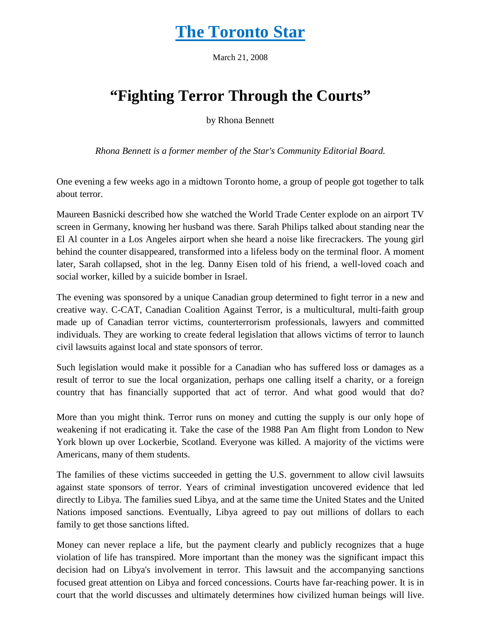## **The Toronto Star**

March 21, 2008

## **"Fighting Terror Through the Courts"**

by Rhona Bennett

*Rhona Bennett is a former member of the Star's Community Editorial Board.*

One evening a few weeks ago in a midtown Toronto home, a group of people got together to talk about terror.

Maureen Basnicki described how she watched the World Trade Center explode on an airport TV screen in Germany, knowing her husband was there. Sarah Philips talked about standing near the El Al counter in a Los Angeles airport when she heard a noise like firecrackers. The young girl behind the counter disappeared, transformed into a lifeless body on the terminal floor. A moment later, Sarah collapsed, shot in the leg. Danny Eisen told of his friend, a well-loved coach and social worker, killed by a suicide bomber in Israel.

The evening was sponsored by a unique Canadian group determined to fight terror in a new and creative way. C-CAT, Canadian Coalition Against Terror, is a multicultural, multi-faith group made up of Canadian terror victims, counterterrorism professionals, lawyers and committed individuals. They are working to create federal legislation that allows victims of terror to launch civil lawsuits against local and state sponsors of terror.

Such legislation would make it possible for a Canadian who has suffered loss or damages as a result of terror to sue the local organization, perhaps one calling itself a charity, or a foreign country that has financially supported that act of terror. And what good would that do?

More than you might think. Terror runs on money and cutting the supply is our only hope of weakening if not eradicating it. Take the case of the 1988 Pan Am flight from London to New York blown up over Lockerbie, Scotland. Everyone was killed. A majority of the victims were Americans, many of them students.

The families of these victims succeeded in getting the U.S. government to allow civil lawsuits against state sponsors of terror. Years of criminal investigation uncovered evidence that led directly to Libya. The families sued Libya, and at the same time the United States and the United Nations imposed sanctions. Eventually, Libya agreed to pay out millions of dollars to each family to get those sanctions lifted.

Money can never replace a life, but the payment clearly and publicly recognizes that a huge violation of life has transpired. More important than the money was the significant impact this decision had on Libya's involvement in terror. This lawsuit and the accompanying sanctions focused great attention on Libya and forced concessions. Courts have far-reaching power. It is in court that the world discusses and ultimately determines how civilized human beings will live.